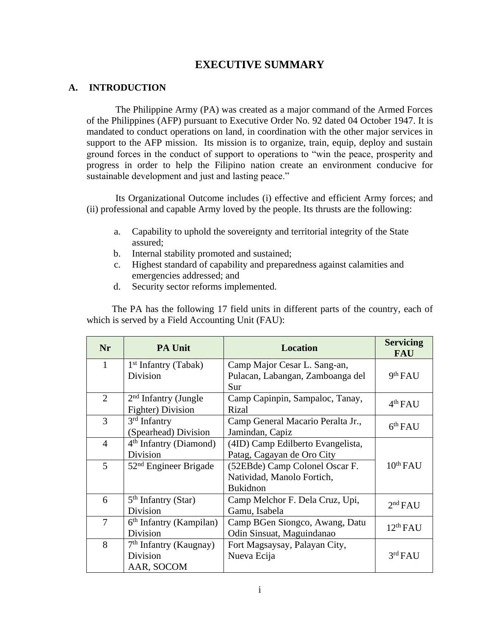# **EXECUTIVE SUMMARY**

## **A. INTRODUCTION**

The Philippine Army (PA) was created as a major command of the Armed Forces of the Philippines (AFP) pursuant to Executive Order No. 92 dated 04 October 1947. It is mandated to conduct operations on land, in coordination with the other major services in support to the AFP mission. Its mission is to organize, train, equip, deploy and sustain ground forces in the conduct of support to operations to "win the peace, prosperity and progress in order to help the Filipino nation create an environment conducive for sustainable development and just and lasting peace."

Its Organizational Outcome includes (i) effective and efficient Army forces; and (ii) professional and capable Army loved by the people. Its thrusts are the following:

- a. Capability to uphold the sovereignty and territorial integrity of the State assured;
- b. Internal stability promoted and sustained;
- c. Highest standard of capability and preparedness against calamities and emergencies addressed; and
- d. Security sector reforms implemented.

The PA has the following 17 field units in different parts of the country, each of which is served by a Field Accounting Unit (FAU):

| <b>Nr</b>      | <b>PA Unit</b>            | <b>Location</b>                   | <b>Servicing</b><br><b>FAU</b> |  |
|----------------|---------------------------|-----------------------------------|--------------------------------|--|
| $\mathbf{1}$   | $1st$ Infantry (Tabak)    | Camp Major Cesar L. Sang-an,      |                                |  |
|                | Division                  | Pulacan, Labangan, Zamboanga del  | 9 <sup>th</sup> FAU            |  |
|                |                           | Sur                               |                                |  |
| $\overline{2}$ | $2nd$ Infantry (Jungle    | Camp Capinpin, Sampaloc, Tanay,   | 4 <sup>th</sup> FAU            |  |
|                | Fighter) Division         | Rizal                             |                                |  |
| 3              | $3rd$ Infantry            | Camp General Macario Peralta Jr., | 6 <sup>th</sup> FAU            |  |
|                | (Spearhead) Division      | Jamindan, Capiz                   |                                |  |
| $\overline{4}$ | $4th$ Infantry (Diamond)  | (4ID) Camp Edilberto Evangelista, |                                |  |
|                | Division                  | Patag, Cagayan de Oro City        |                                |  |
| 5              | $52nd$ Engineer Brigade   | (52EBde) Camp Colonel Oscar F.    | $10^{th}$ FAU                  |  |
|                |                           | Natividad, Manolo Fortich,        |                                |  |
|                |                           | <b>Bukidnon</b>                   |                                |  |
| 6              | $5th$ Infantry (Star)     | Camp Melchor F. Dela Cruz, Upi,   | 2 <sup>nd</sup> FAU            |  |
|                | Division                  | Gamu, Isabela                     |                                |  |
| 7              | $6th$ Infantry (Kampilan) | Camp BGen Siongco, Awang, Datu    | 12 <sup>th</sup> FAU           |  |
|                | Division                  | Odin Sinsuat, Maguindanao         |                                |  |
| 8              | $7th$ Infantry (Kaugnay)  | Fort Magsaysay, Palayan City,     |                                |  |
|                | Division                  | Nueva Ecija                       | 3rd FAU                        |  |
|                | AAR, SOCOM                |                                   |                                |  |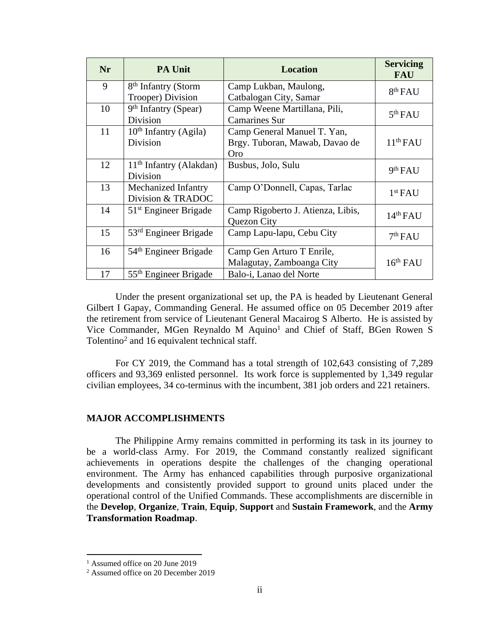| <b>Nr</b> | <b>PA Unit</b>                    | <b>Location</b>                   | <b>Servicing</b><br><b>FAU</b> |
|-----------|-----------------------------------|-----------------------------------|--------------------------------|
| 9         | 8 <sup>th</sup> Infantry (Storm   | Camp Lukban, Maulong,             | 8 <sup>th</sup> FAU            |
|           | Trooper) Division                 | Catbalogan City, Samar            |                                |
| 10        | $9th$ Infantry (Spear)            | Camp Weene Martillana, Pili,      | 5 <sup>th</sup> FAU            |
|           | Division                          | <b>Camarines Sur</b>              |                                |
| 11        | $10th$ Infantry (Agila)           | Camp General Manuel T. Yan,       |                                |
|           | <b>Division</b>                   | Brgy. Tuboran, Mawab, Davao de    | $11th$ FAU                     |
|           |                                   | Oro                               |                                |
| 12        | $11th$ Infantry (Alakdan)         | Busbus, Jolo, Sulu                | 9th FAU                        |
|           | Division                          |                                   |                                |
| 13        | Mechanized Infantry               | Camp O'Donnell, Capas, Tarlac     | 1 <sup>st</sup> FAU            |
|           | Division & TRADOC                 |                                   |                                |
| 14        | $51st$ Engineer Brigade           | Camp Rigoberto J. Atienza, Libis, | 14 <sup>th</sup> FAU           |
|           |                                   | Quezon City                       |                                |
| 15        | $53rd$ Engineer Brigade           | Camp Lapu-lapu, Cebu City         | 7 <sup>th</sup> FAU            |
|           |                                   |                                   |                                |
| 16        | 54 <sup>th</sup> Engineer Brigade | Camp Gen Arturo T Enrile,         |                                |
|           |                                   | Malagutay, Zamboanga City         | 16 <sup>th</sup> FAU           |
| 17        | 55 <sup>th</sup> Engineer Brigade | Balo-i, Lanao del Norte           |                                |

Under the present organizational set up, the PA is headed by Lieutenant General Gilbert I Gapay, Commanding General. He assumed office on 05 December 2019 after the retirement from service of Lieutenant General Macairog S Alberto. He is assisted by Vice Commander, MGen Reynaldo M Aquino<sup>1</sup> and Chief of Staff, BGen Rowen S Tolentino<sup>2</sup> and 16 equivalent technical staff.

For CY 2019, the Command has a total strength of 102,643 consisting of 7,289 officers and 93,369 enlisted personnel. Its work force is supplemented by 1,349 regular civilian employees, 34 co-terminus with the incumbent, 381 job orders and 221 retainers.

## **MAJOR ACCOMPLISHMENTS**

The Philippine Army remains committed in performing its task in its journey to be a world-class Army. For 2019, the Command constantly realized significant achievements in operations despite the challenges of the changing operational environment. The Army has enhanced capabilities through purposive organizational developments and consistently provided support to ground units placed under the operational control of the Unified Commands. These accomplishments are discernible in the **Develop**, **Organize**, **Train**, **Equip**, **Support** and **Sustain Framework**, and the **Army Transformation Roadmap**.

<sup>&</sup>lt;sup>1</sup> Assumed office on 20 June 2019

<sup>2</sup> Assumed office on 20 December 2019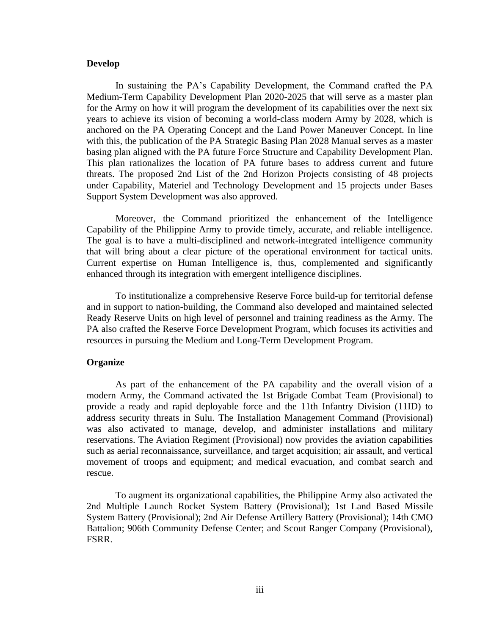## **Develop**

In sustaining the PA's Capability Development, the Command crafted the PA Medium-Term Capability Development Plan 2020-2025 that will serve as a master plan for the Army on how it will program the development of its capabilities over the next six years to achieve its vision of becoming a world-class modern Army by 2028, which is anchored on the PA Operating Concept and the Land Power Maneuver Concept. In line with this, the publication of the PA Strategic Basing Plan 2028 Manual serves as a master basing plan aligned with the PA future Force Structure and Capability Development Plan. This plan rationalizes the location of PA future bases to address current and future threats. The proposed 2nd List of the 2nd Horizon Projects consisting of 48 projects under Capability, Materiel and Technology Development and 15 projects under Bases Support System Development was also approved.

Moreover, the Command prioritized the enhancement of the Intelligence Capability of the Philippine Army to provide timely, accurate, and reliable intelligence. The goal is to have a multi-disciplined and network-integrated intelligence community that will bring about a clear picture of the operational environment for tactical units. Current expertise on Human Intelligence is, thus, complemented and significantly enhanced through its integration with emergent intelligence disciplines.

To institutionalize a comprehensive Reserve Force build-up for territorial defense and in support to nation-building, the Command also developed and maintained selected Ready Reserve Units on high level of personnel and training readiness as the Army. The PA also crafted the Reserve Force Development Program, which focuses its activities and resources in pursuing the Medium and Long-Term Development Program.

### **Organize**

As part of the enhancement of the PA capability and the overall vision of a modern Army, the Command activated the 1st Brigade Combat Team (Provisional) to provide a ready and rapid deployable force and the 11th Infantry Division (11ID) to address security threats in Sulu. The Installation Management Command (Provisional) was also activated to manage, develop, and administer installations and military reservations. The Aviation Regiment (Provisional) now provides the aviation capabilities such as aerial reconnaissance, surveillance, and target acquisition; air assault, and vertical movement of troops and equipment; and medical evacuation, and combat search and rescue.

To augment its organizational capabilities, the Philippine Army also activated the 2nd Multiple Launch Rocket System Battery (Provisional); 1st Land Based Missile System Battery (Provisional); 2nd Air Defense Artillery Battery (Provisional); 14th CMO Battalion; 906th Community Defense Center; and Scout Ranger Company (Provisional), FSRR.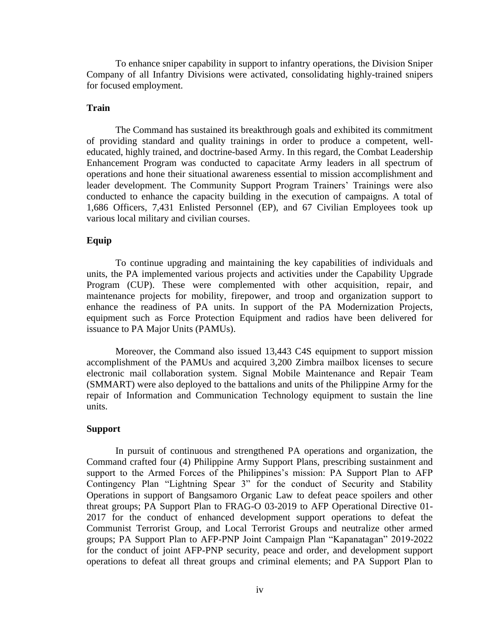To enhance sniper capability in support to infantry operations, the Division Sniper Company of all Infantry Divisions were activated, consolidating highly-trained snipers for focused employment.

## **Train**

The Command has sustained its breakthrough goals and exhibited its commitment of providing standard and quality trainings in order to produce a competent, welleducated, highly trained, and doctrine-based Army. In this regard, the Combat Leadership Enhancement Program was conducted to capacitate Army leaders in all spectrum of operations and hone their situational awareness essential to mission accomplishment and leader development. The Community Support Program Trainers' Trainings were also conducted to enhance the capacity building in the execution of campaigns. A total of 1,686 Officers, 7,431 Enlisted Personnel (EP), and 67 Civilian Employees took up various local military and civilian courses.

## **Equip**

To continue upgrading and maintaining the key capabilities of individuals and units, the PA implemented various projects and activities under the Capability Upgrade Program (CUP). These were complemented with other acquisition, repair, and maintenance projects for mobility, firepower, and troop and organization support to enhance the readiness of PA units. In support of the PA Modernization Projects, equipment such as Force Protection Equipment and radios have been delivered for issuance to PA Major Units (PAMUs).

Moreover, the Command also issued 13,443 C4S equipment to support mission accomplishment of the PAMUs and acquired 3,200 Zimbra mailbox licenses to secure electronic mail collaboration system. Signal Mobile Maintenance and Repair Team (SMMART) were also deployed to the battalions and units of the Philippine Army for the repair of Information and Communication Technology equipment to sustain the line units.

## **Support**

In pursuit of continuous and strengthened PA operations and organization, the Command crafted four (4) Philippine Army Support Plans, prescribing sustainment and support to the Armed Forces of the Philippines's mission: PA Support Plan to AFP Contingency Plan "Lightning Spear 3" for the conduct of Security and Stability Operations in support of Bangsamoro Organic Law to defeat peace spoilers and other threat groups; PA Support Plan to FRAG-O 03-2019 to AFP Operational Directive 01- 2017 for the conduct of enhanced development support operations to defeat the Communist Terrorist Group, and Local Terrorist Groups and neutralize other armed groups; PA Support Plan to AFP-PNP Joint Campaign Plan "Kapanatagan" 2019-2022 for the conduct of joint AFP-PNP security, peace and order, and development support operations to defeat all threat groups and criminal elements; and PA Support Plan to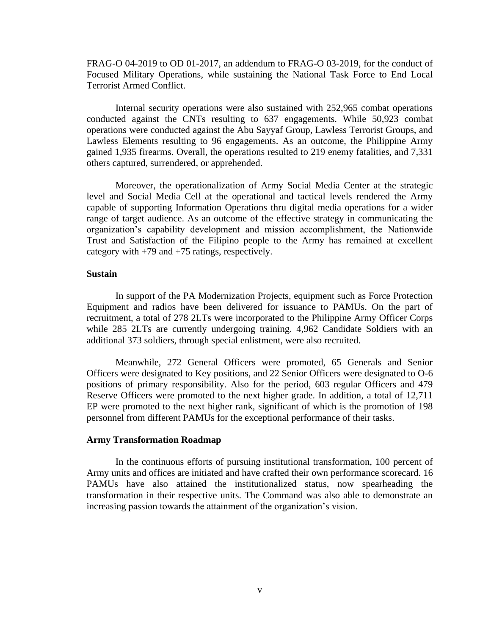FRAG-O 04-2019 to OD 01-2017, an addendum to FRAG-O 03-2019, for the conduct of Focused Military Operations, while sustaining the National Task Force to End Local Terrorist Armed Conflict.

Internal security operations were also sustained with 252,965 combat operations conducted against the CNTs resulting to 637 engagements. While 50,923 combat operations were conducted against the Abu Sayyaf Group, Lawless Terrorist Groups, and Lawless Elements resulting to 96 engagements. As an outcome, the Philippine Army gained 1,935 firearms. Overall, the operations resulted to 219 enemy fatalities, and 7,331 others captured, surrendered, or apprehended.

Moreover, the operationalization of Army Social Media Center at the strategic level and Social Media Cell at the operational and tactical levels rendered the Army capable of supporting Information Operations thru digital media operations for a wider range of target audience. As an outcome of the effective strategy in communicating the organization's capability development and mission accomplishment, the Nationwide Trust and Satisfaction of the Filipino people to the Army has remained at excellent category with +79 and +75 ratings, respectively.

### **Sustain**

In support of the PA Modernization Projects, equipment such as Force Protection Equipment and radios have been delivered for issuance to PAMUs. On the part of recruitment, a total of 278 2LTs were incorporated to the Philippine Army Officer Corps while 285 2LTs are currently undergoing training. 4,962 Candidate Soldiers with an additional 373 soldiers, through special enlistment, were also recruited.

Meanwhile, 272 General Officers were promoted, 65 Generals and Senior Officers were designated to Key positions, and 22 Senior Officers were designated to O-6 positions of primary responsibility. Also for the period, 603 regular Officers and 479 Reserve Officers were promoted to the next higher grade. In addition, a total of 12,711 EP were promoted to the next higher rank, significant of which is the promotion of 198 personnel from different PAMUs for the exceptional performance of their tasks.

#### **Army Transformation Roadmap**

In the continuous efforts of pursuing institutional transformation, 100 percent of Army units and offices are initiated and have crafted their own performance scorecard. 16 PAMUs have also attained the institutionalized status, now spearheading the transformation in their respective units. The Command was also able to demonstrate an increasing passion towards the attainment of the organization's vision.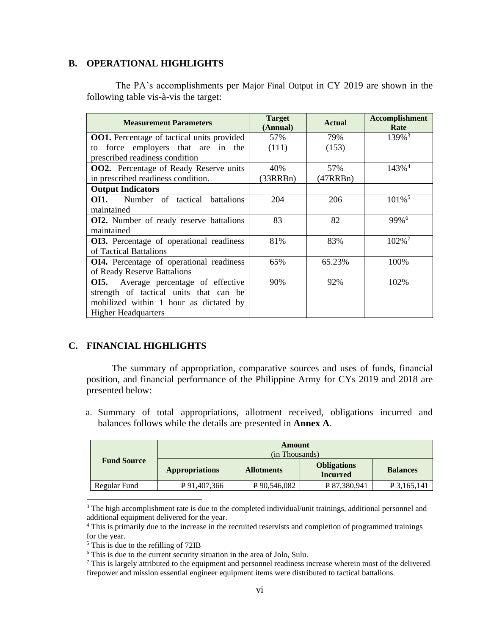## **B. OPERATIONAL HIGHLIGHTS**

The PA's accomplishments per Major Final Output in CY 2019 are shown in the following table vis-à-vis the target:

| <b>Measurement Parameters</b>                     | <b>Target</b><br>(Annual) | <b>Actual</b> | <b>Accomplishment</b><br>Rate |
|---------------------------------------------------|---------------------------|---------------|-------------------------------|
| <b>OO1.</b> Percentage of tactical units provided | 57%                       | 79%           | 139% <sup>3</sup>             |
| force employers that are in the<br>to             | (111)                     | (153)         |                               |
| prescribed readiness condition                    |                           |               |                               |
| <b>OO2.</b> Percentage of Ready Reserve units     | 40%                       | 57%           | $143\%$ <sup>4</sup>          |
| in prescribed readiness condition.                | (33RRBn)                  | (47RRBn)      |                               |
| <b>Output Indicators</b>                          |                           |               |                               |
| <b>OI1.</b> Number of tactical battalions         | 204                       | 206           | $101\%$ <sup>5</sup>          |
| maintained                                        |                           |               |                               |
| <b>OI2.</b> Number of ready reserve battalions    | 83                        | 82            | 99%6                          |
| maintained                                        |                           |               |                               |
| OI3. Percentage of operational readiness          | 81%                       | 83%           | 102% <sup>7</sup>             |
| of Tactical Battalions                            |                           |               |                               |
| OI4. Percentage of operational readiness          | 65%                       | 65.23%        | 100%                          |
| of Ready Reserve Battalions                       |                           |               |                               |
| Average percentage of effective<br>OI5.           | 90%                       | 92%           | 102%                          |
| strength of tactical units that can be            |                           |               |                               |
| mobilized within 1 hour as dictated by            |                           |               |                               |
| <b>Higher Headquarters</b>                        |                           |               |                               |

# **C. FINANCIAL HIGHLIGHTS**

The summary of appropriation, comparative sources and uses of funds, financial position, and financial performance of the Philippine Army for CYs 2019 and 2018 are presented below:

a. Summary of total appropriations, allotment received, obligations incurred and balances follows while the details are presented in **Annex A**.

|                    | Amount<br>(in Thousands) |                   |                                       |                 |
|--------------------|--------------------------|-------------------|---------------------------------------|-----------------|
| <b>Fund Source</b> | <b>Appropriations</b>    | <b>Allotments</b> | <b>Obligations</b><br><b>Incurred</b> | <b>Balances</b> |
| Regular Fund       | P 91,407,366             | P90,546,082       | P 87,380,941                          | $P$ 3,165,141   |

<sup>&</sup>lt;sup>3</sup> The high accomplishment rate is due to the completed individual/unit trainings, additional personnel and additional equipment delivered for the year.

<sup>&</sup>lt;sup>4</sup> This is primarily due to the increase in the recruited reservists and completion of programmed trainings for the year.

<sup>5</sup> This is due to the refilling of 72IB

<sup>6</sup> This is due to the current security situation in the area of Jolo, Sulu.

<sup>&</sup>lt;sup>7</sup> This is largely attributed to the equipment and personnel readiness increase wherein most of the delivered firepower and mission essential engineer equipment items were distributed to tactical battalions.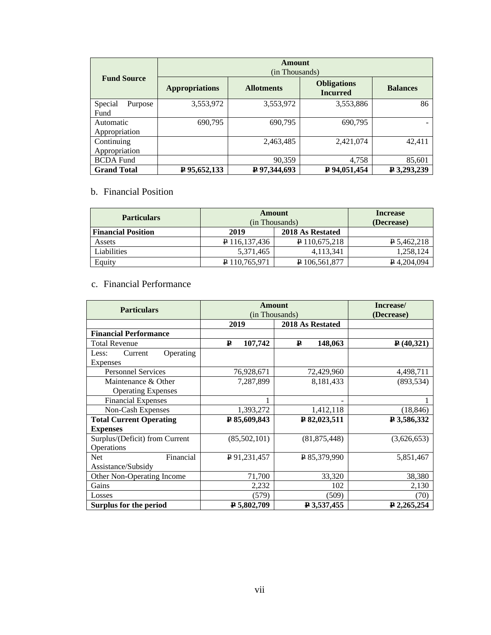|                            | Amount<br>(in Thousands) |                   |                                       |                 |  |
|----------------------------|--------------------------|-------------------|---------------------------------------|-----------------|--|
| <b>Fund Source</b>         | <b>Appropriations</b>    | <b>Allotments</b> | <b>Obligations</b><br><b>Incurred</b> | <b>Balances</b> |  |
| Special<br>Purpose<br>Fund | 3,553,972                | 3,553,972         | 3,553,886                             | 86              |  |
| Automatic<br>Appropriation | 690,795                  | 690,795           | 690.795                               |                 |  |
| Continuing                 |                          | 2,463,485         | 2,421,074                             | 42,411          |  |
| Appropriation              |                          |                   |                                       |                 |  |
| <b>BCDA</b> Fund           |                          | 90,359            | 4,758                                 | 85,601          |  |
| <b>Grand Total</b>         | P 95,652,133             | P 97,344,693      | P 94,051,454                          | ₽ 3,293,239     |  |

# b. Financial Position

| <b>Particulars</b>        | Amount<br>(in Thousands) |                  | <b>Increase</b><br>(Decrease) |
|---------------------------|--------------------------|------------------|-------------------------------|
| <b>Financial Position</b> | 2019                     | 2018 As Restated |                               |
| Assets                    | P 116,137,436            | P 110,675,218    | P 5,462,218                   |
| Liabilities               | 5,371,465                | 4,113,341        | 1,258,124                     |
| Equity                    | P 110,765,971            | P 106,561,877    | $P$ 4,204,094                 |

# c. Financial Performance

| <b>Particulars</b>                               | <b>Amount</b><br>(in Thousands) |                  | Increase/<br>(Decrease) |
|--------------------------------------------------|---------------------------------|------------------|-------------------------|
|                                                  | 2019                            | 2018 As Restated |                         |
| <b>Financial Performance</b>                     |                                 |                  |                         |
| <b>Total Revenue</b>                             | 107,742<br>$\mathbf{p}$         | ₽<br>148,063     | P(40,321)               |
| Operating<br>Current<br>Less:<br>Expenses        |                                 |                  |                         |
| <b>Personnel Services</b>                        | 76,928,671                      | 72,429,960       | 4,498,711               |
| Maintenance & Other<br><b>Operating Expenses</b> | 7,287,899                       | 8,181,433        | (893, 534)              |
| <b>Financial Expenses</b>                        |                                 |                  |                         |
| Non-Cash Expenses                                | 1,393,272                       | 1,412,118        | (18, 846)               |
| <b>Total Current Operating</b>                   | P 85,609,843                    | P 82,023,511     | ₽ 3,586,332             |
| <b>Expenses</b>                                  |                                 |                  |                         |
| Surplus/(Deficit) from Current<br>Operations     | (85,502,101)                    | (81, 875, 448)   | (3,626,653)             |
| Financial<br><b>Net</b><br>Assistance/Subsidy    | P 91, 231, 457                  | $P$ 85,379,990   | 5,851,467               |
| Other Non-Operating Income                       | 71,700                          | 33,320           | 38,380                  |
| Gains                                            | 2,232                           | 102              | 2,130                   |
| Losses                                           | (579)                           | (509)            | (70)                    |
| Surplus for the period                           | P 5,802,709                     | ₽ 3,537,455      | $P$ 2,265,254           |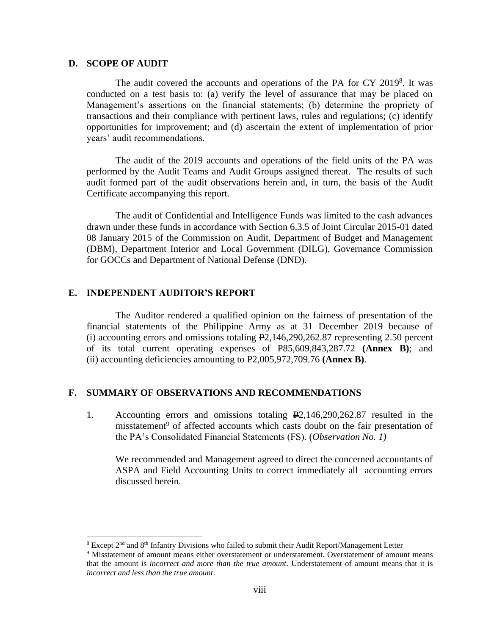### **D. SCOPE OF AUDIT**

The audit covered the accounts and operations of the PA for CY 2019<sup>8</sup>. It was conducted on a test basis to: (a) verify the level of assurance that may be placed on Management's assertions on the financial statements; (b) determine the propriety of transactions and their compliance with pertinent laws, rules and regulations; (c) identify opportunities for improvement; and (d) ascertain the extent of implementation of prior years' audit recommendations.

The audit of the 2019 accounts and operations of the field units of the PA was performed by the Audit Teams and Audit Groups assigned thereat. The results of such audit formed part of the audit observations herein and, in turn, the basis of the Audit Certificate accompanying this report.

The audit of Confidential and Intelligence Funds was limited to the cash advances drawn under these funds in accordance with Section 6.3.5 of Joint Circular 2015-01 dated 08 January 2015 of the Commission on Audit, Department of Budget and Management (DBM), Department Interior and Local Government (DILG), Governance Commission for GOCCs and Department of National Defense (DND).

## **E. INDEPENDENT AUDITOR'S REPORT**

The Auditor rendered a qualified opinion on the fairness of presentation of the financial statements of the Philippine Army as at 31 December 2019 because of (i) accounting errors and omissions totaling  $E2,146,290,262.87$  representing 2.50 percent of its total current operating expenses of P85,609,843,287.72 **(Annex B)**; and (ii) accounting deficiencies amounting to P2,005,972,709.76 **(Annex B)**.

## **F. SUMMARY OF OBSERVATIONS AND RECOMMENDATIONS**

1. Accounting errors and omissions totaling P2,146,290,262.87 resulted in the misstatement<sup>9</sup> of affected accounts which casts doubt on the fair presentation of the PA's Consolidated Financial Statements (FS). (*Observation No. 1)* 

We recommended and Management agreed to direct the concerned accountants of ASPA and Field Accounting Units to correct immediately all accounting errors discussed herein.

<sup>8</sup> Except 2nd and 8th Infantry Divisions who failed to submit their Audit Report/Management Letter

<sup>&</sup>lt;sup>9</sup> Misstatement of amount means either overstatement or understatement. Overstatement of amount means that the amount is *incorrect and more than the true amount*. Understatement of amount means that it is *incorrect and less than the true amount*.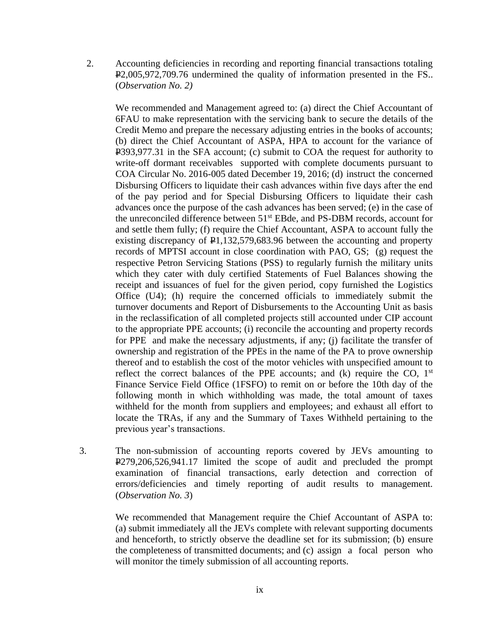2. Accounting deficiencies in recording and reporting financial transactions totaling P2,005,972,709.76 undermined the quality of information presented in the FS.. (*Observation No. 2)*

We recommended and Management agreed to: (a) direct the Chief Accountant of 6FAU to make representation with the servicing bank to secure the details of the Credit Memo and prepare the necessary adjusting entries in the books of accounts; (b) direct the Chief Accountant of ASPA, HPA to account for the variance of P393,977.31 in the SFA account; (c) submit to COA the request for authority to write-off dormant receivables supported with complete documents pursuant to COA Circular No. 2016-005 dated December 19, 2016; (d) instruct the concerned Disbursing Officers to liquidate their cash advances within five days after the end of the pay period and for Special Disbursing Officers to liquidate their cash advances once the purpose of the cash advances has been served; (e) in the case of the unreconciled difference between 51st EBde, and PS-DBM records, account for and settle them fully; (f) require the Chief Accountant, ASPA to account fully the existing discrepancy of  $\text{\textsterling}1,132,579,683.96$  between the accounting and property records of MPTSI account in close coordination with PAO, GS; (g) request the respective Petron Servicing Stations (PSS) to regularly furnish the military units which they cater with duly certified Statements of Fuel Balances showing the receipt and issuances of fuel for the given period, copy furnished the Logistics Office (U4); (h) require the concerned officials to immediately submit the turnover documents and Report of Disbursements to the Accounting Unit as basis in the reclassification of all completed projects still accounted under CIP account to the appropriate PPE accounts; (i) reconcile the accounting and property records for PPE and make the necessary adjustments, if any; (j) facilitate the transfer of ownership and registration of the PPEs in the name of the PA to prove ownership thereof and to establish the cost of the motor vehicles with unspecified amount to reflect the correct balances of the PPE accounts; and  $(k)$  require the CO,  $1<sup>st</sup>$ Finance Service Field Office (1FSFO) to remit on or before the 10th day of the following month in which withholding was made, the total amount of taxes withheld for the month from suppliers and employees; and exhaust all effort to locate the TRAs, if any and the Summary of Taxes Withheld pertaining to the previous year's transactions.

3. The non-submission of accounting reports covered by JEVs amounting to P279,206,526,941.17 limited the scope of audit and precluded the prompt examination of financial transactions, early detection and correction of errors/deficiencies and timely reporting of audit results to management. (*Observation No. 3*)

> We recommended that Management require the Chief Accountant of ASPA to: (a) submit immediately all the JEVs complete with relevant supporting documents and henceforth, to strictly observe the deadline set for its submission; (b) ensure the completeness of transmitted documents; and (c) assign a focal person who will monitor the timely submission of all accounting reports.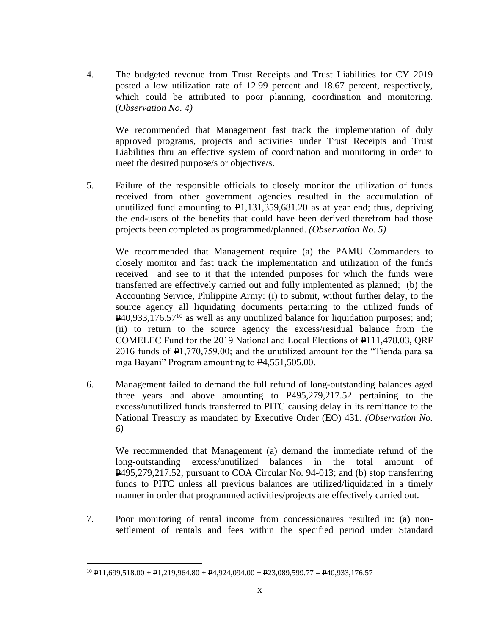4. The budgeted revenue from Trust Receipts and Trust Liabilities for CY 2019 posted a low utilization rate of 12.99 percent and 18.67 percent, respectively, which could be attributed to poor planning, coordination and monitoring. (*Observation No. 4)*

We recommended that Management fast track the implementation of duly approved programs, projects and activities under Trust Receipts and Trust Liabilities thru an effective system of coordination and monitoring in order to meet the desired purpose/s or objective/s.

5. Failure of the responsible officials to closely monitor the utilization of funds received from other government agencies resulted in the accumulation of unutilized fund amounting to  $\mathbb{P}1,131,359,681.20$  as at year end; thus, depriving the end-users of the benefits that could have been derived therefrom had those projects been completed as programmed/planned. *(Observation No. 5)*

We recommended that Management require (a) the PAMU Commanders to closely monitor and fast track the implementation and utilization of the funds received and see to it that the intended purposes for which the funds were transferred are effectively carried out and fully implemented as planned; (b) the Accounting Service, Philippine Army: (i) to submit, without further delay, to the source agency all liquidating documents pertaining to the utilized funds of  $\mathbf{P}40,933,176.57^{10}$  as well as any unutilized balance for liquidation purposes; and; (ii) to return to the source agency the excess/residual balance from the COMELEC Fund for the 2019 National and Local Elections of P111,478.03, QRF 2016 funds of P1,770,759.00; and the unutilized amount for the "Tienda para sa mga Bayani" Program amounting to P4,551,505.00.

6. Management failed to demand the full refund of long-outstanding balances aged three years and above amounting to P495,279,217.52 pertaining to the excess/unutilized funds transferred to PITC causing delay in its remittance to the National Treasury as mandated by Executive Order (EO) 431. *(Observation No. 6)*

We recommended that Management (a) demand the immediate refund of the long-outstanding excess/unutilized balances in the total amount of P495,279,217.52, pursuant to COA Circular No. 94-013; and (b) stop transferring funds to PITC unless all previous balances are utilized/liquidated in a timely manner in order that programmed activities/projects are effectively carried out.

7. Poor monitoring of rental income from concessionaires resulted in: (a) nonsettlement of rentals and fees within the specified period under Standard

 $^{10}$  P11,699,518.00 + P1,219,964.80 + P4,924,094.00 + P23,089,599.77 = P40,933,176.57